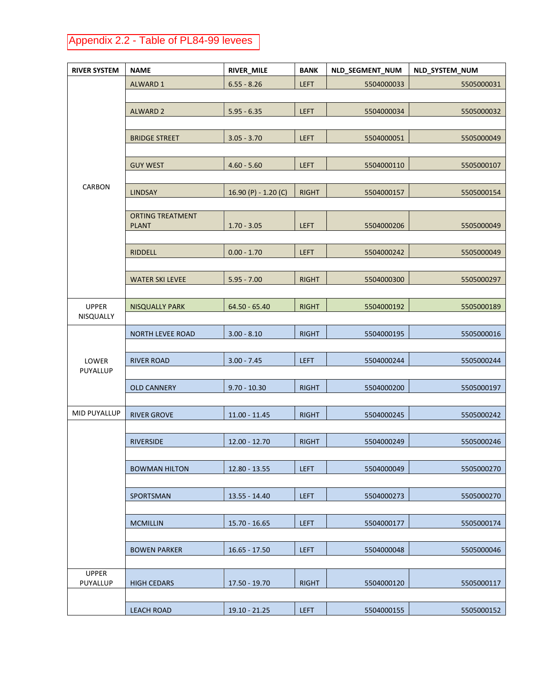## Appendix 2.2 - Table of PL84-99 levees

| <b>RIVER SYSTEM</b> | <b>NAME</b>                             | RIVER_MILE           | <b>BANK</b>  | <b>NLD SEGMENT NUM</b> | <b>NLD SYSTEM NUM</b> |
|---------------------|-----------------------------------------|----------------------|--------------|------------------------|-----------------------|
| <b>CARBON</b>       | <b>ALWARD 1</b>                         | $6.55 - 8.26$        | <b>LEFT</b>  | 5504000033             | 5505000031            |
|                     |                                         |                      |              |                        |                       |
|                     | <b>ALWARD 2</b>                         | $5.95 - 6.35$        | <b>LEFT</b>  | 5504000034             | 5505000032            |
|                     |                                         |                      |              |                        |                       |
|                     | <b>BRIDGE STREET</b>                    | $3.05 - 3.70$        | <b>LEFT</b>  | 5504000051             | 5505000049            |
|                     |                                         |                      |              |                        |                       |
|                     | <b>GUY WEST</b>                         | $4.60 - 5.60$        | <b>LEFT</b>  | 5504000110             | 5505000107            |
|                     |                                         |                      |              |                        |                       |
|                     | <b>LINDSAY</b>                          | 16.90 (P) - 1.20 (C) | <b>RIGHT</b> | 5504000157             | 5505000154            |
|                     |                                         |                      |              |                        |                       |
|                     | <b>ORTING TREATMENT</b><br><b>PLANT</b> | $1.70 - 3.05$        | <b>LEFT</b>  | 5504000206             | 5505000049            |
|                     |                                         |                      |              |                        |                       |
|                     | <b>RIDDELL</b>                          | $0.00 - 1.70$        | <b>LEFT</b>  | 5504000242             | 5505000049            |
|                     |                                         |                      |              |                        |                       |
|                     | <b>WATER SKI LEVEE</b>                  | $5.95 - 7.00$        | <b>RIGHT</b> | 5504000300             | 5505000297            |
|                     |                                         |                      |              |                        |                       |
| <b>UPPER</b>        | <b>NISQUALLY PARK</b>                   | $64.50 - 65.40$      | <b>RIGHT</b> | 5504000192             | 5505000189            |
| NISQUALLY           |                                         |                      |              |                        |                       |
| LOWER<br>PUYALLUP   | <b>NORTH LEVEE ROAD</b>                 | $3.00 - 8.10$        | <b>RIGHT</b> | 5504000195             | 5505000016            |
|                     |                                         |                      |              |                        |                       |
|                     | <b>RIVER ROAD</b>                       | $3.00 - 7.45$        | <b>LEFT</b>  | 5504000244             | 5505000244            |
|                     |                                         |                      |              |                        |                       |
|                     | <b>OLD CANNERY</b>                      | $9.70 - 10.30$       | <b>RIGHT</b> | 5504000200             | 5505000197            |
|                     |                                         |                      |              |                        |                       |
| MID PUYALLUP        | <b>RIVER GROVE</b>                      | $11.00 - 11.45$      | <b>RIGHT</b> | 5504000245             | 5505000242            |
|                     |                                         |                      |              |                        |                       |
|                     | <b>RIVERSIDE</b>                        | $12.00 - 12.70$      | <b>RIGHT</b> | 5504000249             | 5505000246            |
|                     | <b>BOWMAN HILTON</b>                    | $12.80 - 13.55$      | <b>LEFT</b>  | 5504000049             | 5505000270            |
|                     |                                         |                      |              |                        |                       |
|                     | SPORTSMAN                               | 13.55 - 14.40        | <b>LEFT</b>  | 5504000273             | 5505000270            |
|                     |                                         |                      |              |                        |                       |
|                     | <b>MCMILLIN</b>                         | $15.70 - 16.65$      | <b>LEFT</b>  | 5504000177             | 5505000174            |
|                     |                                         |                      |              |                        |                       |
|                     | <b>BOWEN PARKER</b>                     | $16.65 - 17.50$      | <b>LEFT</b>  | 5504000048             | 5505000046            |
|                     |                                         |                      |              |                        |                       |
| <b>UPPER</b>        |                                         |                      |              |                        |                       |
| PUYALLUP            | <b>HIGH CEDARS</b>                      | 17.50 - 19.70        | <b>RIGHT</b> | 5504000120             | 5505000117            |
|                     |                                         |                      |              |                        |                       |
|                     | <b>LEACH ROAD</b>                       | $19.10 - 21.25$      | <b>LEFT</b>  | 5504000155             | 5505000152            |